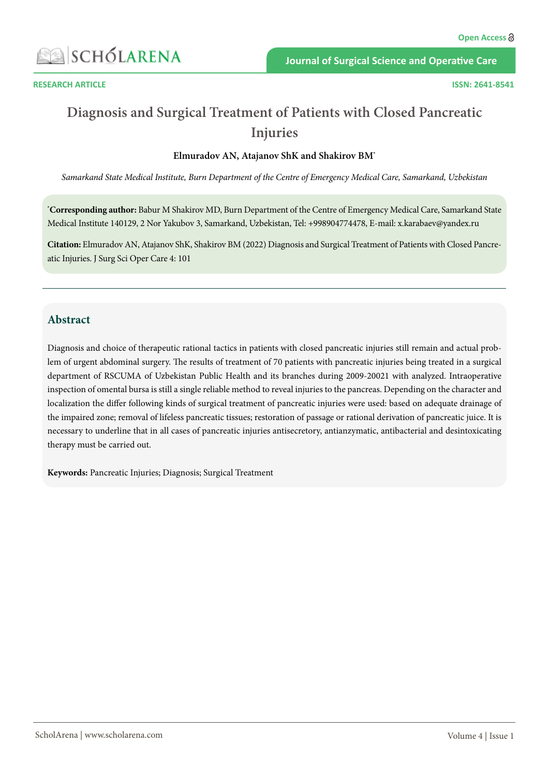

**Journal of Surgical Science and Operative Care**

# **Diagnosis and Surgical Treatment of Patients with Closed Pancreatic Injuries**

#### **Elmuradov AN, Atajanov ShK and Shakirov BM\***

*Samarkand State Medical Institute, Burn Department of the Centre of Emergency Medical Care, Samarkand, Uzbekistan*

**\* Corresponding author:** Babur M Shakirov MD, Burn Department of the Centre of Emergency Medical Care, Samarkand State Medical Institute 140129, 2 Nor Yakubov 3, Samarkand, Uzbekistan, Tel: +998904774478, E-mail: x.karabaev@yandex.ru

**Citation:** Elmuradov AN, Atajanov ShK, Shakirov BM (2022) Diagnosis and Surgical Treatment of Patients with Closed Pancreatic Injuries. J Surg Sci Oper Care 4: 101

### **Abstract**

Diagnosis and choice of therapeutic rational tactics in patients with closed pancreatic injuries still remain and actual problem of urgent abdominal surgery. The results of treatment of 70 patients with pancreatic injuries being treated in a surgical department of RSCUMA of Uzbekistan Public Health and its branches during 2009-20021 with analyzed. Intraoperative inspection of omental bursa is still a single reliable method to reveal injuries to the pancreas. Depending on the character and localization the differ following kinds of surgical treatment of pancreatic injuries were used: based on adequate drainage of the impaired zone; removal of lifeless pancreatic tissues; restoration of passage or rational derivation of pancreatic juice. It is necessary to underline that in all cases of pancreatic injuries antisecretory, antianzymatic, antibacterial and desintoxicating therapy must be carried out.

**Keywords:** Pancreatic Injuries; Diagnosis; Surgical Treatment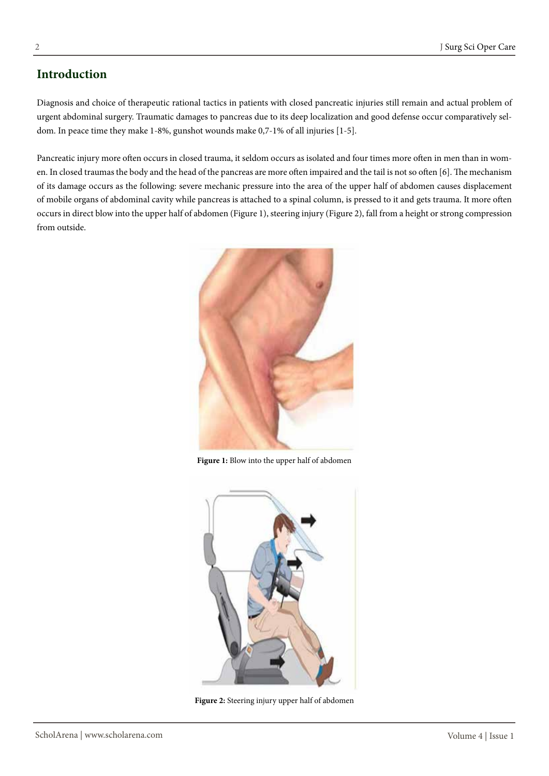# **Introduction**

Diagnosis and choice of therapeutic rational tactics in patients with closed pancreatic injuries still remain and actual problem of urgent abdominal surgery. Traumatic damages to pancreas due to its deep localization and good defense occur comparatively seldom. In peace time they make 1-8%, gunshot wounds make 0,7-1% of all injuries [1-5].

Pancreatic injury more often occurs in closed trauma, it seldom occurs as isolated and four times more often in men than in women. In closed traumas the body and the head of the pancreas are more often impaired and the tail is not so often [6]. The mechanism of its damage occurs as the following: severe mechanic pressure into the area of the upper half of abdomen causes displacement of mobile organs of abdominal cavity while pancreas is attached to a spinal column, is pressed to it and gets trauma. It more often occurs in direct blow into the upper half of abdomen (Figure 1), steering injury (Figure 2), fall from a height or strong compression from outside.



**Figure 1:** Blow into the upper half of abdomen



**Figure 2:** Steering injury upper half of abdomen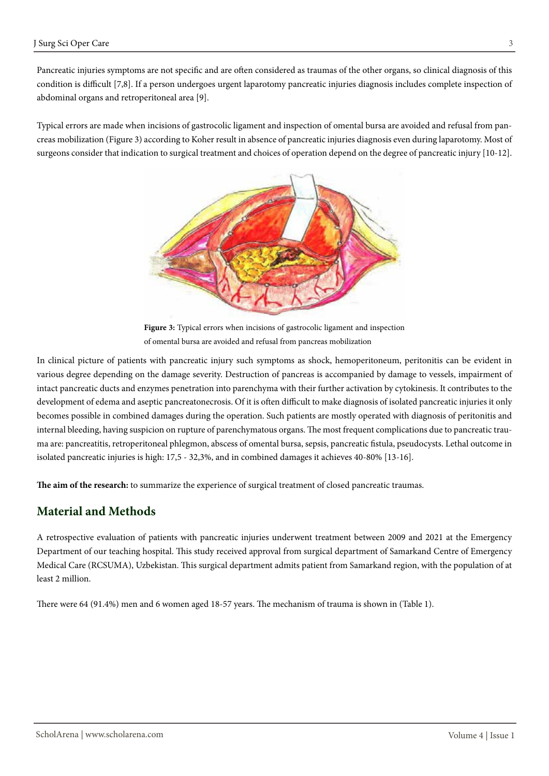Pancreatic injuries symptoms are not specific and are often considered as traumas of the other organs, so clinical diagnosis of this condition is difficult [7,8]. If a person undergoes urgent laparotomy pancreatic injuries diagnosis includes complete inspection of abdominal organs and retroperitoneal area [9].

Typical errors are made when incisions of gastrocolic ligament and inspection of omental bursa are avoided and refusal from pancreas mobilization (Figure 3) according to Koher result in absence of pancreatic injuries diagnosis even during laparotomy. Most of surgeons consider that indication to surgical treatment and choices of operation depend on the degree of pancreatic injury [10-12].



**Figure 3:** Typical errors when incisions of gastrocolic ligament and inspection of omental bursa are avoided and refusal from pancreas mobilization

In clinical picture of patients with pancreatic injury such symptoms as shock, hemoperitoneum, peritonitis can be evident in various degree depending on the damage severity. Destruction of pancreas is accompanied by damage to vessels, impairment of intact pancreatic ducts and enzymes penetration into parenchyma with their further activation by cytokinesis. It contributes to the development of edema and aseptic pancreatonecrosis. Of it is often difficult to make diagnosis of isolated pancreatic injuries it only becomes possible in combined damages during the operation. Such patients are mostly operated with diagnosis of peritonitis and internal bleeding, having suspicion on rupture of parenchymatous organs. The most frequent complications due to pancreatic trauma are: pancreatitis, retroperitoneal phlegmon, abscess of omental bursa, sepsis, pancreatic fistula, pseudocysts. Lethal outcome in isolated pancreatic injuries is high: 17,5 - 32,3%, and in combined damages it achieves 40-80% [13-16].

**The aim of the research:** to summarize the experience of surgical treatment of closed pancreatic traumas.

## **Material and Methods**

A retrospective evaluation of patients with pancreatic injuries underwent treatment between 2009 and 2021 at the Emergency Department of our teaching hospital. This study received approval from surgical department of Samarkand Centre of Emergency Medical Care (RCSUMA), Uzbekistan. This surgical department admits patient from Samarkand region, with the population of at least 2 million.

There were 64 (91.4%) men and 6 women aged 18-57 years. The mechanism of trauma is shown in (Table 1).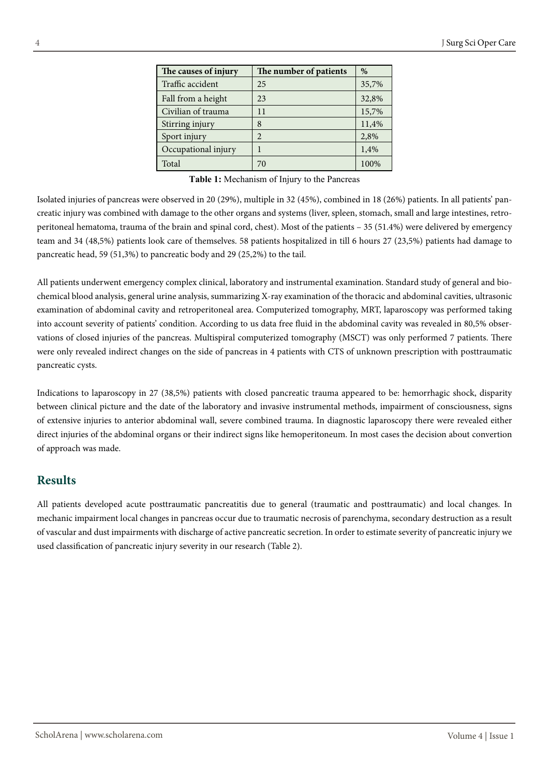| The causes of injury | The number of patients | $\%$  |
|----------------------|------------------------|-------|
| Traffic accident     | 25                     | 35,7% |
| Fall from a height   | 23                     | 32,8% |
| Civilian of trauma   | 11                     | 15,7% |
| Stirring injury      | 8                      | 11,4% |
| Sport injury         | $\overline{2}$         | 2,8%  |
| Occupational injury  | 1                      | 1,4%  |
| Total                | 70                     | 100%  |

**Тable 1:** Mechanism of Injury to the Pancreas

Isolated injuries of pancreas were observed in 20 (29%), multiple in 32 (45%), combined in 18 (26%) patients. In all patients' pancreatic injury was combined with damage to the other organs and systems (liver, spleen, stomach, small and large intestines, retroperitoneal hematoma, trauma of the brain and spinal cord, chest). Most of the patients – 35 (51.4%) were delivered by emergency team and 34 (48,5%) patients look care of themselves. 58 patients hospitalized in till 6 hours 27 (23,5%) patients had damage to pancreatic head, 59 (51,3%) to pancreatic body and 29 (25,2%) to the tail.

All patients underwent emergency complex clinical, laboratory and instrumental examination. Standard study of general and biochemical blood analysis, general urine analysis, summarizing X-ray examination of the thoracic and abdominal cavities, ultrasonic examination of abdominal cavity and retroperitoneal area. Computerized tomography, MRT, laparoscopy was performed taking into account severity of patients' condition. According to us data free fluid in the abdominal cavity was revealed in 80,5% observations of closed injuries of the pancreas. Multispiral computerized tomography (MSCT) was only performed 7 patients. There were only revealed indirect changes on the side of pancreas in 4 patients with CTS of unknown prescription with posttraumatic pancreatic cysts.

Indications to laparoscopy in 27 (38,5%) patients with closed pancreatic trauma appeared to be: hemorrhagic shock, disparity between clinical picture and the date of the laboratory and invasive instrumental methods, impairment of consciousness, signs of extensive injuries to anterior abdominal wall, severe combined trauma. In diagnostic laparoscopy there were revealed either direct injuries of the abdominal organs or their indirect signs like hemoperitoneum. In most cases the decision about convertion of approach was made.

#### **Results**

All patients developed acute posttraumatic pancreatitis due to general (traumatic and posttraumatic) and local changes. In mechanic impairment local changes in pancreas occur due to traumatic necrosis of parenchyma, secondary destruction as a result of vascular and dust impairments with discharge of active pancreatic secretion. In order to estimate severity of pancreatic injury we used classification of pancreatic injury severity in our research (Table 2).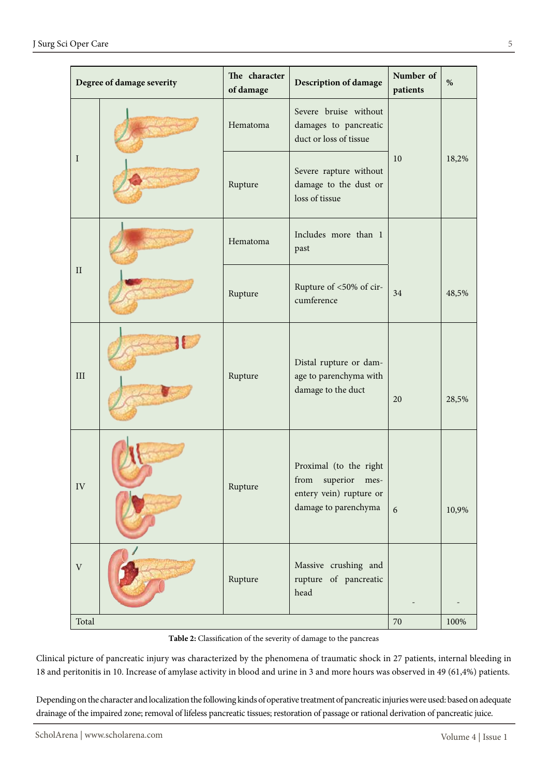|                           | Degree of damage severity | The character<br>of damage | <b>Description of damage</b>                                                                                  | Number of<br>patients | $\%$  |
|---------------------------|---------------------------|----------------------------|---------------------------------------------------------------------------------------------------------------|-----------------------|-------|
| I                         |                           | Hematoma                   | Severe bruise without<br>damages to pancreatic<br>duct or loss of tissue                                      |                       |       |
|                           |                           | Rupture                    | Severe rapture without<br>damage to the dust or<br>loss of tissue                                             | 10                    | 18,2% |
|                           |                           | Hematoma                   | Includes more than 1<br>past                                                                                  |                       |       |
| $\rm II$                  |                           | Rupture                    | Rupture of <50% of cir-<br>cumference                                                                         | 34                    | 48,5% |
| III                       |                           | Rupture                    | Distal rupture or dam-<br>age to parenchyma with<br>damage to the duct                                        | 20                    | 28,5% |
| ${\rm IV}$                |                           | Rupture                    | Proximal (to the right<br>${\rm from}$<br>superior<br>mes-<br>entery vein) rupture or<br>damage to parenchyma | 6                     | 10,9% |
| $\ensuremath{\mathbf{V}}$ |                           | Rupture                    | Massive crushing and<br>rupture of pancreatic<br>head                                                         |                       |       |
| Total                     |                           |                            |                                                                                                               | $70\,$                | 100%  |

**Тable 2:** Classification of the severity of damage to the pancreas

Clinical picture of pancreatic injury was characterized by the phenomena of traumatic shock in 27 patients, internal bleeding in 18 and peritonitis in 10. Increase of amylase activity in blood and urine in 3 and more hours was observed in 49 (61,4%) patients.

Depending on the character and localization the following kinds of operative treatment of pancreatic injuries were used: based on adequate drainage of the impaired zone; removal of lifeless pancreatic tissues; restoration of passage or rational derivation of pancreatic juice.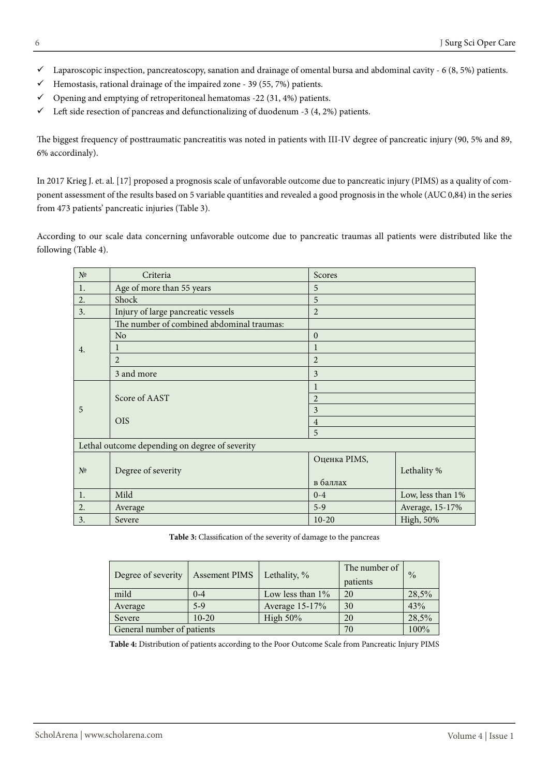- $\checkmark$  Laparoscopic inspection, pancreatoscopy, sanation and drainage of omental bursa and abdominal cavity 6 (8, 5%) patients.
- $\checkmark$  Hemostasis, rational drainage of the impaired zone 39 (55, 7%) patients.
- $\checkmark$  Opening and emptying of retroperitoneal hematomas -22 (31, 4%) patients.
- $\checkmark$  Left side resection of pancreas and defunctionalizing of duodenum -3 (4, 2%) patients.

The biggest frequency of posttraumatic pancreatitis was noted in patients with III-IV degree of pancreatic injury (90, 5% and 89, 6% accordinaly).

In 2017 [Krieg](https://pubmed.ncbi.nlm.nih.gov/?term=Krige+JE&cauthor_id=28596059) J. et. al. [17] proposed a prognosis scale of unfavorable outcome due to pancreatic injury (PIMS) as a quality of component assessment of the results based on 5 variable quantities and revealed a good prognosis in the whole (AUC 0,84) in the series from 473 patients' pancreatic injuries (Table 3).

According to our scale data concerning unfavorable outcome due to pancreatic traumas all patients were distributed like the following (Table 4).

| N <sup>0</sup> | Criteria                                       | Scores         |                   |  |  |
|----------------|------------------------------------------------|----------------|-------------------|--|--|
| 1.             | Age of more than 55 years                      | 5              |                   |  |  |
| 2.             | Shock                                          | 5              |                   |  |  |
| 3.             | Injury of large pancreatic vessels             | $\overline{2}$ |                   |  |  |
|                | The number of combined abdominal traumas:      |                |                   |  |  |
| 4.             | No                                             | 0              |                   |  |  |
|                |                                                | 1              |                   |  |  |
|                | $\overline{2}$                                 | $\overline{2}$ |                   |  |  |
|                | 3 and more                                     | 3              |                   |  |  |
| 5              |                                                | 1              |                   |  |  |
|                | Score of AAST                                  | $\overline{2}$ |                   |  |  |
|                |                                                | 3              |                   |  |  |
|                | <b>OIS</b>                                     | $\overline{4}$ |                   |  |  |
|                |                                                | 5              |                   |  |  |
|                | Lethal outcome depending on degree of severity |                |                   |  |  |
| N <sup>0</sup> | Degree of severity                             | Оценка PIMS,   |                   |  |  |
|                |                                                |                | Lethality %       |  |  |
|                |                                                | в баллах       |                   |  |  |
| 1.             | Mild                                           | $0 - 4$        | Low, less than 1% |  |  |
| 2.             | Average                                        | $5-9$          | Average, 15-17%   |  |  |
| 3.             | Severe                                         | $10-20$        | High, 50%         |  |  |

**Тable 3:** Classification of the severity of damage to the pancreas

| Degree of severity         | <b>Assement PIMS</b> | Lethality, %        | The number of<br>patients | $\frac{0}{0}$ |
|----------------------------|----------------------|---------------------|---------------------------|---------------|
| mild                       | $0 - 4$              | Low less than $1\%$ | 20                        | 28,5%         |
| Average                    | $5-9$                | Average 15-17%      | 30                        | 43%           |
| Severe                     | $10 - 20$            | High $50\%$         | 20                        | 28,5%         |
| General number of patients |                      |                     | 70                        | 100%          |

**Тable 4:** Distribution of patients according to the Poor Outcome Scale from Pancreatic Injury PIMS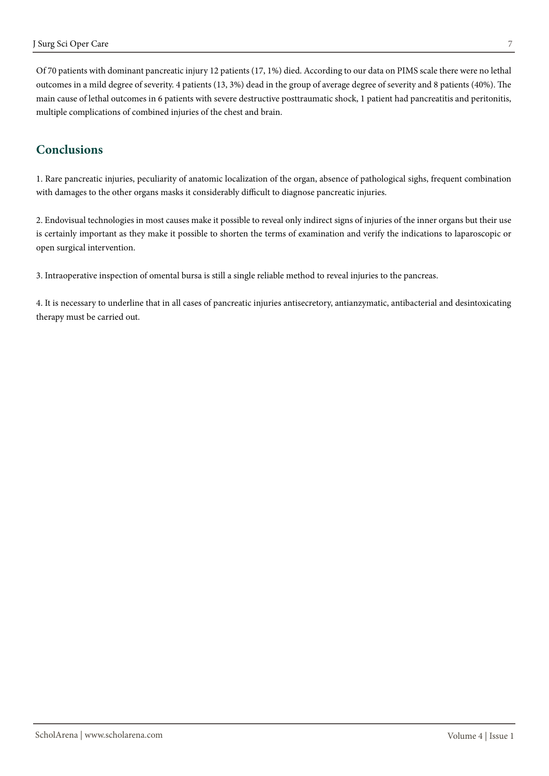Of 70 patients with dominant pancreatic injury 12 patients (17, 1%) died. According to our data on PIMS scale there were no lethal outcomes in a mild degree of severity. 4 patients (13, 3%) dead in the group of average degree of severity and 8 patients (40%). The main cause of lethal outcomes in 6 patients with severe destructive posttraumatic shock, 1 patient had pancreatitis and peritonitis, multiple complications of combined injuries of the chest and brain.

# **Conclusions**

1. Rare pancreatic injuries, peculiarity of anatomic localization of the organ, absence of pathological sighs, frequent combination with damages to the other organs masks it considerably difficult to diagnose pancreatic injuries.

2. Endovisual technologies in most causes make it possible to reveal only indirect signs of injuries of the inner organs but their use is certainly important as they make it possible to shorten the terms of examination and verify the indications to laparoscopic or open surgical intervention.

3. Intraoperative inspection of omental bursa is still a single reliable method to reveal injuries to the pancreas.

4. It is necessary to underline that in all cases of pancreatic injuries antisecretory, antianzymatic, antibacterial and desintoxicating therapy must be carried out.